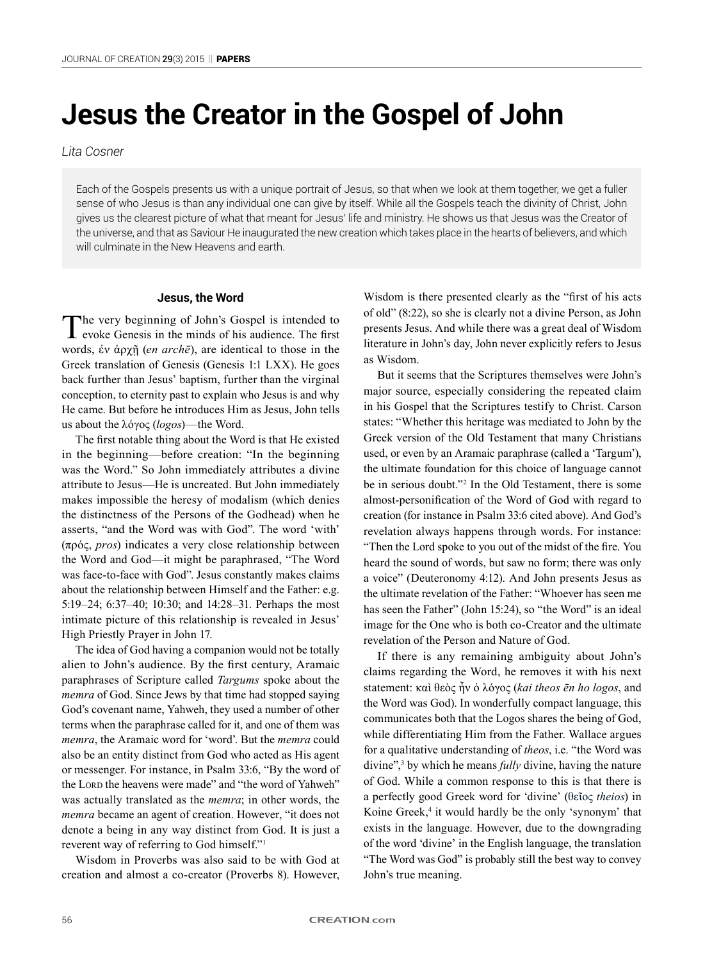# **Jesus the Creator in the Gospel of John**

*Lita Cosner*

Each of the Gospels presents us with a unique portrait of Jesus, so that when we look at them together, we get a fuller sense of who Jesus is than any individual one can give by itself. While all the Gospels teach the divinity of Christ, John gives us the clearest picture of what that meant for Jesus' life and ministry. He shows us that Jesus was the Creator of the universe, and that as Saviour He inaugurated the new creation which takes place in the hearts of believers, and which will culminate in the New Heavens and earth.

## **Jesus, the Word**

The very beginning of John's Gospel is intended to evoke Genesis in the minds of his audience. The first words, ἐν ἀρχῇ (*en archē*), are identical to those in the Greek translation of Genesis (Genesis 1:1 LXX). He goes back further than Jesus' baptism, further than the virginal conception, to eternity past to explain who Jesus is and why He came. But before he introduces Him as Jesus, John tells us about the λóγος (*logos*)—the Word.

The first notable thing about the Word is that He existed in the beginning—before creation: "In the beginning was the Word." So John immediately attributes a divine attribute to Jesus—He is uncreated. But John immediately makes impossible the heresy of modalism (which denies the distinctness of the Persons of the Godhead) when he asserts, "and the Word was with God". The word 'with' (πρός, *pros*) indicates a very close relationship between the Word and God—it might be paraphrased, "The Word was face-to-face with God". Jesus constantly makes claims about the relationship between Himself and the Father: e.g. 5:19–24; 6:37–40; 10:30; and 14:28–31. Perhaps the most intimate picture of this relationship is revealed in Jesus' High Priestly Prayer in John 17.

The idea of God having a companion would not be totally alien to John's audience. By the first century, Aramaic paraphrases of Scripture called *Targums* spoke about the *memra* of God. Since Jews by that time had stopped saying God's covenant name, Yahweh, they used a number of other terms when the paraphrase called for it, and one of them was *memra*, the Aramaic word for 'word'. But the *memra* could also be an entity distinct from God who acted as His agent or messenger. For instance, in Psalm 33:6, "By the word of the Lord the heavens were made" and "the word of Yahweh" was actually translated as the *memra*; in other words, the *memra* became an agent of creation. However, "it does not denote a being in any way distinct from God. It is just a reverent way of referring to God himself."<sup>1</sup>

Wisdom in Proverbs was also said to be with God at creation and almost a co-creator (Proverbs 8). However,

Wisdom is there presented clearly as the "first of his acts of old" (8:22), so she is clearly not a divine Person, as John presents Jesus. And while there was a great deal of Wisdom literature in John's day, John never explicitly refers to Jesus as Wisdom.

But it seems that the Scriptures themselves were John's major source, especially considering the repeated claim in his Gospel that the Scriptures testify to Christ. Carson states: "Whether this heritage was mediated to John by the Greek version of the Old Testament that many Christians used, or even by an Aramaic paraphrase (called a 'Targum'), the ultimate foundation for this choice of language cannot be in serious doubt."<sup>2</sup> In the Old Testament, there is some almost-personification of the Word of God with regard to creation (for instance in Psalm 33:6 cited above). And God's revelation always happens through words. For instance: "Then the Lord spoke to you out of the midst of the fire. You heard the sound of words, but saw no form; there was only a voice" (Deuteronomy 4:12). And John presents Jesus as the ultimate revelation of the Father: "Whoever has seen me has seen the Father" (John 15:24), so "the Word" is an ideal image for the One who is both co-Creator and the ultimate revelation of the Person and Nature of God.

If there is any remaining ambiguity about John's claims regarding the Word, he removes it with his next statement: καὶ θεὸς ἦν ὁ λóγος (*kai theos ēn ho logos*, and the Word was God). In wonderfully compact language, this communicates both that the Logos shares the being of God, while differentiating Him from the Father. Wallace argues for a qualitative understanding of *theos*, i.e. "the Word was divine",<sup>3</sup> by which he means *fully* divine, having the nature of God. While a common response to this is that there is a perfectly good Greek word for 'divine' (θεῖος *theios*) in Koine Greek,<sup>4</sup> it would hardly be the only 'synonym' that exists in the language. However, due to the downgrading of the word 'divine' in the English language, the translation "The Word was God" is probably still the best way to convey John's true meaning.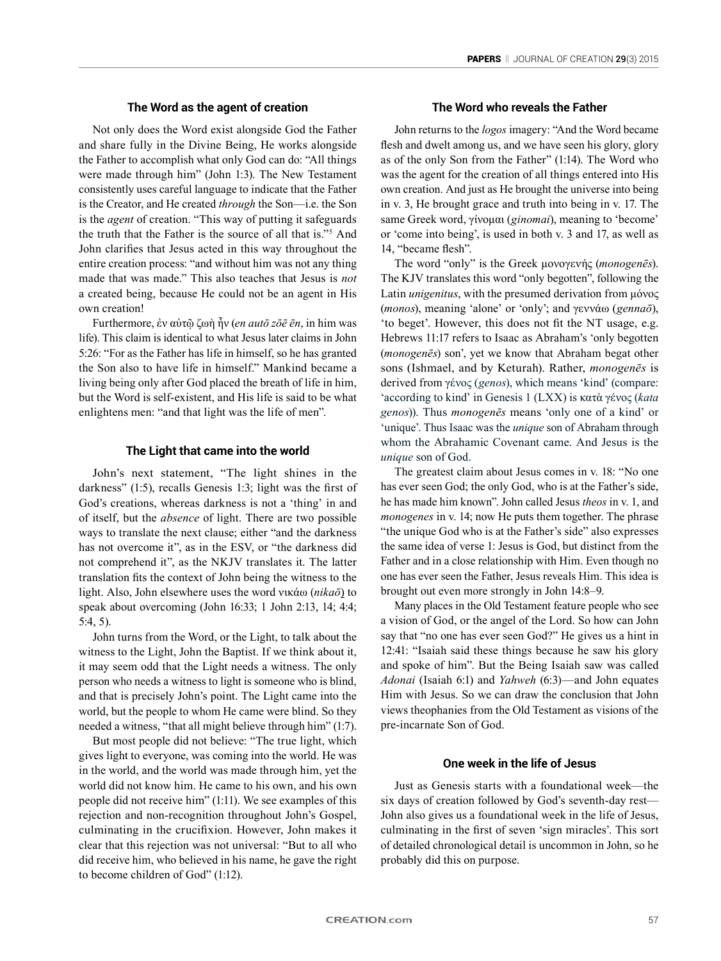# **The Word as the agent of creation**

Not only does the Word exist alongside God the Father and share fully in the Divine Being, He works alongside the Father to accomplish what only God can do: "All things were made through him" (John 1:3). The New Testament consistently uses careful language to indicate that the Father is the Creator, and He created *through* the Son—i.e. the Son is the *agent* of creation. "This way of putting it safeguards the truth that the Father is the source of all that is."<sup>5</sup> And John clarifies that Jesus acted in this way throughout the entire creation process: "and without him was not any thing made that was made." This also teaches that Jesus is *not*  a created being, because He could not be an agent in His own creation!

Furthermore, ἐν αὐτῷ ζωὴ ἦν (*en autō zōē ēn*, in him was life). This claim is identical to what Jesus later claims in John 5:26: "For as the Father has life in himself, so he has granted the Son also to have life in himself." Mankind became a living being only after God placed the breath of life in him, but the Word is self-existent, and His life is said to be what enlightens men: "and that light was the life of men".

#### **The Light that came into the world**

John's next statement, "The light shines in the darkness" (1:5), recalls Genesis 1:3; light was the first of God's creations, whereas darkness is not a 'thing' in and of itself, but the *absence* of light. There are two possible ways to translate the next clause; either "and the darkness has not overcome it", as in the ESV, or "the darkness did not comprehend it", as the NKJV translates it. The latter translation fits the context of John being the witness to the light. Also, John elsewhere uses the word νικάω (*nikaō*) to speak about overcoming (John 16:33; 1 John 2:13, 14; 4:4; 5:4, 5).

John turns from the Word, or the Light, to talk about the witness to the Light, John the Baptist. If we think about it, it may seem odd that the Light needs a witness. The only person who needs a witness to light is someone who is blind, and that is precisely John's point. The Light came into the world, but the people to whom He came were blind. So they needed a witness, "that all might believe through him" (1:7).

But most people did not believe: "The true light, which gives light to everyone, was coming into the world. He was in the world, and the world was made through him, yet the world did not know him. He came to his own, and his own people did not receive him" (1:11). We see examples of this rejection and non-recognition throughout John's Gospel, culminating in the crucifixion. However, John makes it clear that this rejection was not universal: "But to all who did receive him, who believed in his name, he gave the right to become children of God" (1:12).

### **The Word who reveals the Father**

John returns to the *logos* imagery: "And the Word became flesh and dwelt among us, and we have seen his glory, glory as of the only Son from the Father" (1:14). The Word who was the agent for the creation of all things entered into His own creation. And just as He brought the universe into being in v. 3, He brought grace and truth into being in v. 17. The same Greek word, γίνομαι (*ginomai*), meaning to 'become' or 'come into being', is used in both v. 3 and 17, as well as 14, "became flesh".

The word "only" is the Greek μονογενής (*monogenēs*). The KJV translates this word "only begotten", following the Latin *unigenitus*, with the presumed derivation from μόνος (*monos*), meaning 'alone' or 'only'; and γεννάω (*gennaō*), 'to beget'. However, this does not fit the NT usage, e.g. Hebrews 11:17 refers to Isaac as Abraham's 'only begotten (*monogenēs*) son', yet we know that Abraham begat other sons (Ishmael, and by Keturah). Rather, *monogenēs* is derived from γένος (*genos*), which means 'kind' (compare: 'according to kind' in Genesis 1 (LXX) is κατὰ γένος (*kata genos*)). Thus *monogenēs* means 'only one of a kind' or 'unique'. Thus Isaac was the *unique* son of Abraham through whom the Abrahamic Covenant came. And Jesus is the *unique* son of God.

The greatest claim about Jesus comes in v. 18: "No one has ever seen God; the only God, who is at the Father's side, he has made him known". John called Jesus *theos* in v. 1, and *monogenes* in v. 14; now He puts them together. The phrase "the unique God who is at the Father's side" also expresses the same idea of verse 1: Jesus is God, but distinct from the Father and in a close relationship with Him. Even though no one has ever seen the Father, Jesus reveals Him. This idea is brought out even more strongly in John 14:8–9.

Many places in the Old Testament feature people who see a vision of God, or the angel of the Lord. So how can John say that "no one has ever seen God?" He gives us a hint in 12:41: "Isaiah said these things because he saw his glory and spoke of him". But the Being Isaiah saw was called *Adonai* (Isaiah 6:1) and *Yahweh* (6:3)—and John equates Him with Jesus. So we can draw the conclusion that John views theophanies from the Old Testament as visions of the pre-incarnate Son of God.

# **One week in the life of Jesus**

Just as Genesis starts with a foundational week—the six days of creation followed by God's seventh-day rest— John also gives us a foundational week in the life of Jesus, culminating in the first of seven 'sign miracles'. This sort of detailed chronological detail is uncommon in John, so he probably did this on purpose.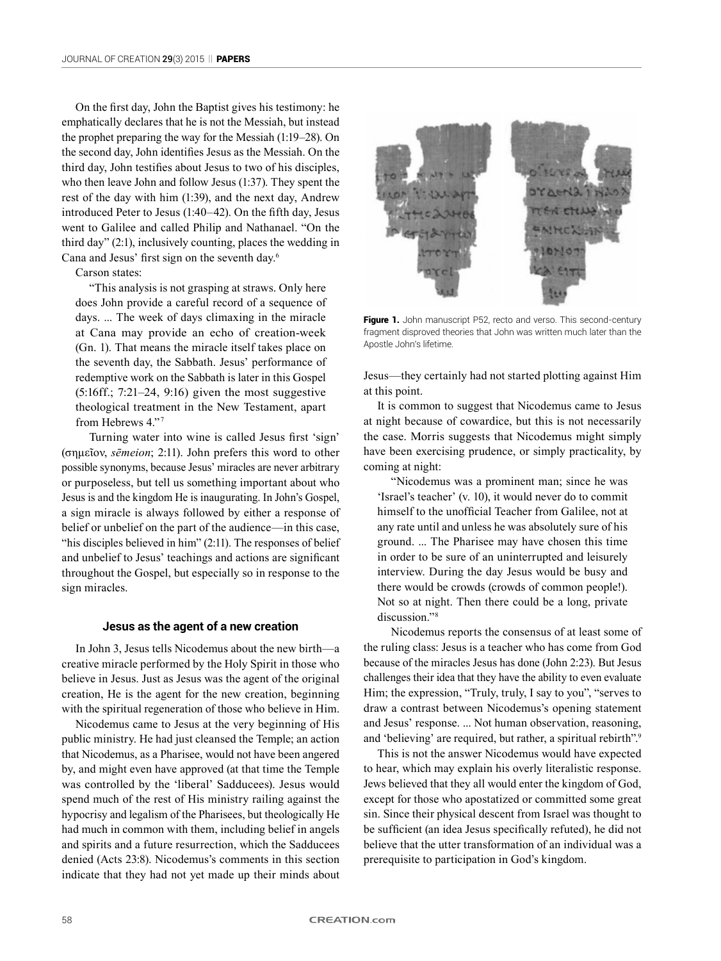On the first day, John the Baptist gives his testimony: he emphatically declares that he is not the Messiah, but instead the prophet preparing the way for the Messiah (1:19–28). On the second day, John identifies Jesus as the Messiah. On the third day, John testifies about Jesus to two of his disciples, who then leave John and follow Jesus (1:37). They spent the rest of the day with him (1:39), and the next day, Andrew introduced Peter to Jesus (1:40–42). On the fifth day, Jesus went to Galilee and called Philip and Nathanael. "On the third day" (2:1), inclusively counting, places the wedding in Cana and Jesus' first sign on the seventh day.6

Carson states:

"This analysis is not grasping at straws. Only here does John provide a careful record of a sequence of days. ... The week of days climaxing in the miracle at Cana may provide an echo of creation-week (Gn. 1). That means the miracle itself takes place on the seventh day, the Sabbath. Jesus' performance of redemptive work on the Sabbath is later in this Gospel (5:16ff.; 7:21–24, 9:16) given the most suggestive theological treatment in the New Testament, apart from Hebrews 4."<sup>7</sup>

Turning water into wine is called Jesus first 'sign' (σημεῖον, *sēmeion*; 2:11). John prefers this word to other possible synonyms, because Jesus' miracles are never arbitrary or purposeless, but tell us something important about who Jesus is and the kingdom He is inaugurating. In John's Gospel, a sign miracle is always followed by either a response of belief or unbelief on the part of the audience—in this case, "his disciples believed in him" (2:11). The responses of belief and unbelief to Jesus' teachings and actions are significant throughout the Gospel, but especially so in response to the sign miracles.

#### **Jesus as the agent of a new creation**

In John 3, Jesus tells Nicodemus about the new birth—a creative miracle performed by the Holy Spirit in those who believe in Jesus. Just as Jesus was the agent of the original creation, He is the agent for the new creation, beginning with the spiritual regeneration of those who believe in Him.

Nicodemus came to Jesus at the very beginning of His public ministry. He had just cleansed the Temple; an action that Nicodemus, as a Pharisee, would not have been angered by, and might even have approved (at that time the Temple was controlled by the 'liberal' Sadducees). Jesus would spend much of the rest of His ministry railing against the hypocrisy and legalism of the Pharisees, but theologically He had much in common with them, including belief in angels and spirits and a future resurrection, which the Sadducees denied (Acts 23:8). Nicodemus's comments in this section indicate that they had not yet made up their minds about



Figure 1. John manuscript P52, recto and verso. This second-century fragment disproved theories that John was written much later than the Apostle John's lifetime.

Jesus—they certainly had not started plotting against Him at this point.

It is common to suggest that Nicodemus came to Jesus at night because of cowardice, but this is not necessarily the case. Morris suggests that Nicodemus might simply have been exercising prudence, or simply practicality, by coming at night:

"Nicodemus was a prominent man; since he was 'Israel's teacher' (v. 10), it would never do to commit himself to the unofficial Teacher from Galilee, not at any rate until and unless he was absolutely sure of his ground. ... The Pharisee may have chosen this time in order to be sure of an uninterrupted and leisurely interview. During the day Jesus would be busy and there would be crowds (crowds of common people!). Not so at night. Then there could be a long, private discussion."<sup>8</sup>

Nicodemus reports the consensus of at least some of the ruling class: Jesus is a teacher who has come from God because of the miracles Jesus has done (John 2:23). But Jesus challenges their idea that they have the ability to even evaluate Him; the expression, "Truly, truly, I say to you", "serves to draw a contrast between Nicodemus's opening statement and Jesus' response. ... Not human observation, reasoning, and 'believing' are required, but rather, a spiritual rebirth".<sup>9</sup>

This is not the answer Nicodemus would have expected to hear, which may explain his overly literalistic response. Jews believed that they all would enter the kingdom of God, except for those who apostatized or committed some great sin. Since their physical descent from Israel was thought to be sufficient (an idea Jesus specifically refuted), he did not believe that the utter transformation of an individual was a prerequisite to participation in God's kingdom.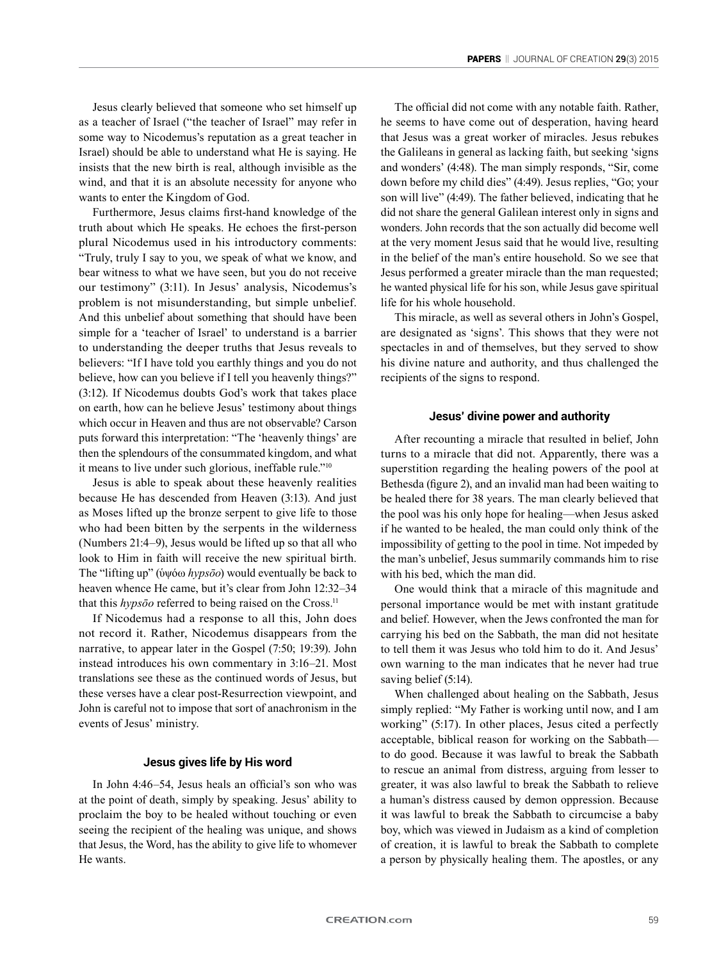Jesus clearly believed that someone who set himself up as a teacher of Israel ("the teacher of Israel" may refer in some way to Nicodemus's reputation as a great teacher in Israel) should be able to understand what He is saying. He insists that the new birth is real, although invisible as the wind, and that it is an absolute necessity for anyone who wants to enter the Kingdom of God.

Furthermore, Jesus claims first-hand knowledge of the truth about which He speaks. He echoes the first-person plural Nicodemus used in his introductory comments: "Truly, truly I say to you, we speak of what we know, and bear witness to what we have seen, but you do not receive our testimony" (3:11). In Jesus' analysis, Nicodemus's problem is not misunderstanding, but simple unbelief. And this unbelief about something that should have been simple for a 'teacher of Israel' to understand is a barrier to understanding the deeper truths that Jesus reveals to believers: "If I have told you earthly things and you do not believe, how can you believe if I tell you heavenly things?" (3:12). If Nicodemus doubts God's work that takes place on earth, how can he believe Jesus' testimony about things which occur in Heaven and thus are not observable? Carson puts forward this interpretation: "The 'heavenly things' are then the splendours of the consummated kingdom, and what it means to live under such glorious, ineffable rule."<sup>10</sup>

Jesus is able to speak about these heavenly realities because He has descended from Heaven (3:13). And just as Moses lifted up the bronze serpent to give life to those who had been bitten by the serpents in the wilderness (Numbers 21:4–9), Jesus would be lifted up so that all who look to Him in faith will receive the new spiritual birth. The "lifting up" (ὑψόω *hypsōo*) would eventually be back to heaven whence He came, but it's clear from John 12:32–34 that this *hypsōo* referred to being raised on the Cross.<sup>11</sup>

If Nicodemus had a response to all this, John does not record it. Rather, Nicodemus disappears from the narrative, to appear later in the Gospel (7:50; 19:39). John instead introduces his own commentary in 3:16–21. Most translations see these as the continued words of Jesus, but these verses have a clear post-Resurrection viewpoint, and John is careful not to impose that sort of anachronism in the events of Jesus' ministry.

## **Jesus gives life by His word**

In John 4:46–54, Jesus heals an official's son who was at the point of death, simply by speaking. Jesus' ability to proclaim the boy to be healed without touching or even seeing the recipient of the healing was unique, and shows that Jesus, the Word, has the ability to give life to whomever He wants.

The official did not come with any notable faith. Rather, he seems to have come out of desperation, having heard that Jesus was a great worker of miracles. Jesus rebukes the Galileans in general as lacking faith, but seeking 'signs and wonders' (4:48). The man simply responds, "Sir, come down before my child dies" (4:49). Jesus replies, "Go; your son will live" (4:49). The father believed, indicating that he did not share the general Galilean interest only in signs and wonders. John records that the son actually did become well at the very moment Jesus said that he would live, resulting in the belief of the man's entire household. So we see that Jesus performed a greater miracle than the man requested; he wanted physical life for his son, while Jesus gave spiritual life for his whole household.

This miracle, as well as several others in John's Gospel, are designated as 'signs'. This shows that they were not spectacles in and of themselves, but they served to show his divine nature and authority, and thus challenged the recipients of the signs to respond.

### **Jesus' divine power and authority**

After recounting a miracle that resulted in belief, John turns to a miracle that did not. Apparently, there was a superstition regarding the healing powers of the pool at Bethesda (figure 2), and an invalid man had been waiting to be healed there for 38 years. The man clearly believed that the pool was his only hope for healing—when Jesus asked if he wanted to be healed, the man could only think of the impossibility of getting to the pool in time. Not impeded by the man's unbelief, Jesus summarily commands him to rise with his bed, which the man did.

One would think that a miracle of this magnitude and personal importance would be met with instant gratitude and belief. However, when the Jews confronted the man for carrying his bed on the Sabbath, the man did not hesitate to tell them it was Jesus who told him to do it. And Jesus' own warning to the man indicates that he never had true saving belief (5:14).

When challenged about healing on the Sabbath, Jesus simply replied: "My Father is working until now, and I am working" (5:17). In other places, Jesus cited a perfectly acceptable, biblical reason for working on the Sabbath to do good. Because it was lawful to break the Sabbath to rescue an animal from distress, arguing from lesser to greater, it was also lawful to break the Sabbath to relieve a human's distress caused by demon oppression. Because it was lawful to break the Sabbath to circumcise a baby boy, which was viewed in Judaism as a kind of completion of creation, it is lawful to break the Sabbath to complete a person by physically healing them. The apostles, or any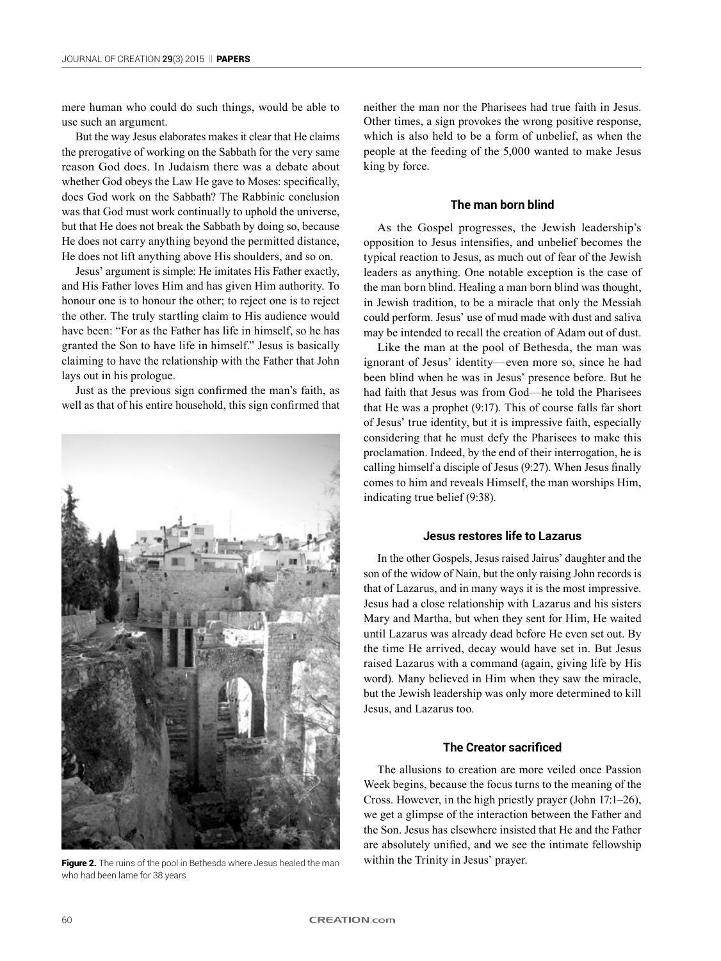mere human who could do such things, would be able to use such an argument.

But the way Jesus elaborates makes it clear that He claims the prerogative of working on the Sabbath for the very same reason God does. In Judaism there was a debate about whether God obeys the Law He gave to Moses: specifically, does God work on the Sabbath? The Rabbinic conclusion was that God must work continually to uphold the universe, but that He does not break the Sabbath by doing so, because He does not carry anything beyond the permitted distance, He does not lift anything above His shoulders, and so on.

Jesus' argument is simple: He imitates His Father exactly, and His Father loves Him and has given Him authority. To honour one is to honour the other; to reject one is to reject the other. The truly startling claim to His audience would have been: "For as the Father has life in himself, so he has granted the Son to have life in himself." Jesus is basically claiming to have the relationship with the Father that John lays out in his prologue.

Just as the previous sign confirmed the man's faith, as well as that of his entire household, this sign confirmed that



Figure 2. The ruins of the pool in Bethesda where Jesus healed the man within the Trinity in Jesus' prayer. who had been lame for 38 years

neither the man nor the Pharisees had true faith in Jesus. Other times, a sign provokes the wrong positive response, which is also held to be a form of unbelief, as when the people at the feeding of the 5,000 wanted to make Jesus king by force.

### **The man born blind**

As the Gospel progresses, the Jewish leadership's opposition to Jesus intensifies, and unbelief becomes the typical reaction to Jesus, as much out of fear of the Jewish leaders as anything. One notable exception is the case of the man born blind. Healing a man born blind was thought, in Jewish tradition, to be a miracle that only the Messiah could perform. Jesus' use of mud made with dust and saliva may be intended to recall the creation of Adam out of dust.

Like the man at the pool of Bethesda, the man was ignorant of Jesus' identity—even more so, since he had been blind when he was in Jesus' presence before. But he had faith that Jesus was from God—he told the Pharisees that He was a prophet (9:17). This of course falls far short of Jesus' true identity, but it is impressive faith, especially considering that he must defy the Pharisees to make this proclamation. Indeed, by the end of their interrogation, he is calling himself a disciple of Jesus (9:27). When Jesus finally comes to him and reveals Himself, the man worships Him, indicating true belief (9:38).

### **Jesus restores life to Lazarus**

In the other Gospels, Jesus raised Jairus' daughter and the son of the widow of Nain, but the only raising John records is that of Lazarus, and in many ways it is the most impressive. Jesus had a close relationship with Lazarus and his sisters Mary and Martha, but when they sent for Him, He waited until Lazarus was already dead before He even set out. By the time He arrived, decay would have set in. But Jesus raised Lazarus with a command (again, giving life by His word). Many believed in Him when they saw the miracle, but the Jewish leadership was only more determined to kill Jesus, and Lazarus too.

#### **The Creator sacrificed**

The allusions to creation are more veiled once Passion Week begins, because the focus turns to the meaning of the Cross. However, in the high priestly prayer (John 17:1–26), we get a glimpse of the interaction between the Father and the Son. Jesus has elsewhere insisted that He and the Father are absolutely unified, and we see the intimate fellowship